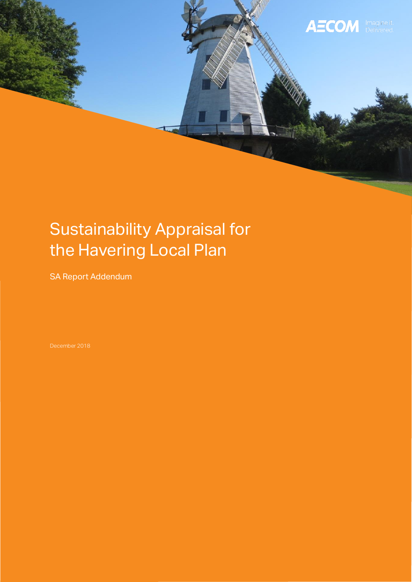

# Sustainability Appraisal for the Havering Local Plan

SA Report Addendum

December 2018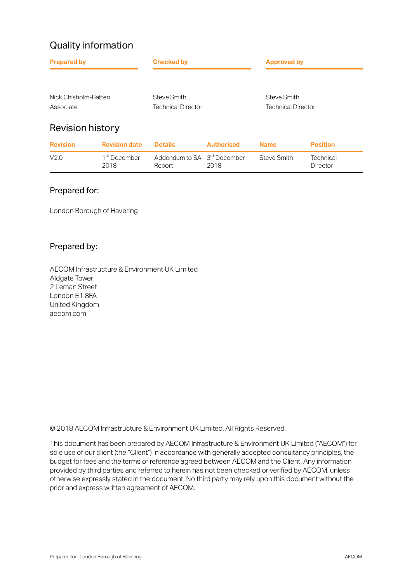## Quality information

| <b>Prepared by</b>   | <b>Checked by</b>         | <b>Approved by</b>        |  |  |
|----------------------|---------------------------|---------------------------|--|--|
| Nick Chisholm-Batten | Steve Smith               | <b>Steve Smith</b>        |  |  |
| Associate            | <b>Technical Director</b> | <b>Technical Director</b> |  |  |

## Revision history

| <b>Revision</b> | <b>Revision date</b>             | <b>Details</b>                                    | Authorised | <b>Name</b> | Position              |
|-----------------|----------------------------------|---------------------------------------------------|------------|-------------|-----------------------|
| V2.0            | 1 <sup>st</sup> December<br>2018 | Addendum to SA 3 <sup>rd</sup> December<br>Report | 2018       | Steve Smith | Technical<br>Director |

### Prepared for:

London Borough of Havering

## Prepared by:

AECOM Infrastructure & Environment UK Limited Aldgate Tower 2 Leman Street London E1 8FA United Kingdom aecom.com

© 2018 AECOM Infrastructure & Environment UK Limited. All Rights Reserved.

This document has been prepared by AECOM Infrastructure & Environment UK Limited ("AECOM") for sole use of our client (the "Client") in accordance with generally accepted consultancy principles, the budget for fees and the terms of reference agreed between AECOM and the Client. Any information provided by third parties and referred to herein has not been checked or verified by AECOM, unless otherwise expressly stated in the document. No third party may rely upon this document without the prior and express written agreement of AECOM.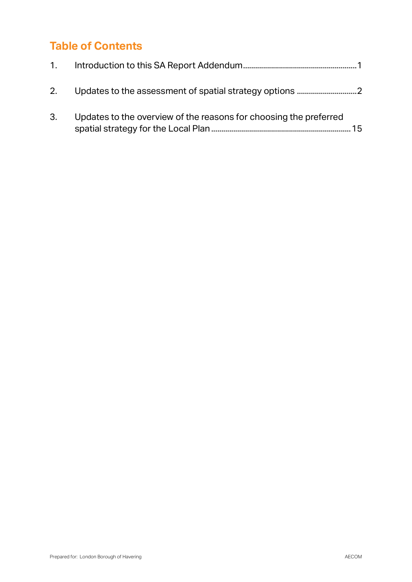## **Table of Contents**

| 2. |                                                                   |    |
|----|-------------------------------------------------------------------|----|
| 3. | Updates to the overview of the reasons for choosing the preferred | 15 |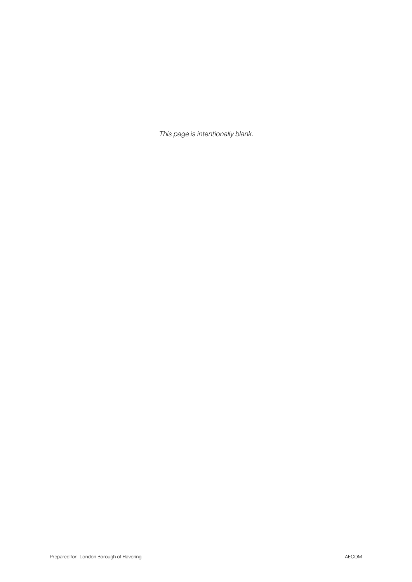*This page is intentionally blank.*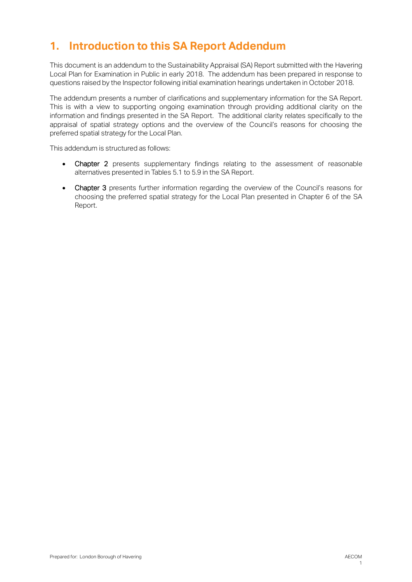## **1. Introduction to this SA Report Addendum**

This document is an addendum to the Sustainability Appraisal (SA) Report submitted with the Havering Local Plan for Examination in Public in early 2018. The addendum has been prepared in response to questions raised by the Inspector following initial examination hearings undertaken in October 2018.

The addendum presents a number of clarifications and supplementary information for the SA Report. This is with a view to supporting ongoing examination through providing additional clarity on the information and findings presented in the SA Report. The additional clarity relates specifically to the appraisal of spatial strategy options and the overview of the Council's reasons for choosing the preferred spatial strategy for the Local Plan.

This addendum is structured as follows:

- Chapter 2 presents supplementary findings relating to the assessment of reasonable alternatives presented in Tables 5.1 to 5.9 in the SA Report.
- Chapter 3 presents further information regarding the overview of the Council's reasons for choosing the preferred spatial strategy for the Local Plan presented in Chapter 6 of the SA Report.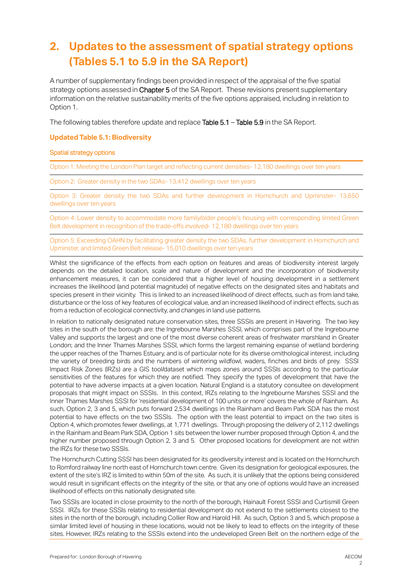## **2. Updates to the assessment of spatial strategy options (Tables 5.1 to 5.9 in the SA Report)**

A number of supplementary findings been provided in respect of the appraisal of the five spatial strategy options assessed in Chapter 5 of the SA Report. These revisions present supplementary information on the relative sustainability merits of the five options appraised, including in relation to Option 1.

The following tables therefore update and replace Table 5.1 - Table 5.9 in the SA Report.

#### **Updated Table 5.1: Biodiversity**

#### Spatial strategy options

Option 1: Meeting the London Plan target and reflecting current densities- 12,180 dwellings over ten years

Option 2: Greater density in the two SDAs- 13,412 dwellings over ten years

Option 3: Greater density the two SDAs and further development in Hornchurch and Upminster- 13,650 dwellings over ten years

Option 4: Lower density to accommodate more family/older people's housing with corresponding limited Green Belt development in recognition of the trade-offs involved- 12,180 dwellings over ten years

Option 5: Exceeding OAHN by facilitating greater density the two SDAs, further development in Hornchurch and Upminster, and limited Green Belt release- 15,010 dwellings over ten years

Whilst the significance of the effects from each option on features and areas of biodiversity interest largely depends on the detailed location, scale and nature of development and the incorporation of biodiversity enhancement measures, it can be considered that a higher level of housing development in a settlement increases the likelihood (and potential magnitude) of negative effects on the designated sites and habitats and species present in their vicinity. This is linked to an increased likelihood of direct effects, such as from land take, disturbance or the loss of key features of ecological value, and an increased likelihood of indirect effects, such as from a reduction of ecological connectivity, and changes in land use patterns.

In relation to nationally designated nature conservation sites, three SSSIs are present in Havering. The two key sites in the south of the borough are: the Ingrebourne Marshes SSSI, which comprises part of the Ingrebourne Valley and supports the largest and one of the most diverse coherent areas of freshwater marshland in Greater London; and the Inner Thames Marshes SSSI, which forms the largest remaining expanse of wetland bordering the upper reaches of the Thames Estuary, and is of particular note for its diverse ornithological interest, including the variety of breeding birds and the numbers of wintering wildfowl, waders, finches and birds of prey. SSSI Impact Risk Zones (IRZs) are a GIS tool/dataset which maps zones around SSSIs according to the particular sensitivities of the features for which they are notified. They specify the types of development that have the potential to have adverse impacts at a given location. Natural England is a statutory consultee on development proposals that might impact on SSSIs. In this context, IRZs relating to the Ingrebourne Marshes SSSI and the Inner Thames Marshes SSSI for 'residential development of 100 units or more' covers the whole of Rainham. As such, Option 2, 3 and 5, which puts forward 2,534 dwellings in the Rainham and Beam Park SDA has the most potential to have effects on the two SSSIs. The option with the least potential to impact on the two sites is Option 4, which promotes fewer dwellings, at 1,771 dwellings. Through proposing the delivery of 2,112 dwellings in the Rainham and Beam Park SDA, Option 1 sits between the lower number proposed through Option 4, and the higher number proposed through Option 2, 3 and 5. Other proposed locations for development are not within the IRZs for these two SSSIs.

The Hornchurch Cutting SSSI has been designated for its geodiversity interest and is located on the Hornchurch to Romford railway line north east of Hornchurch town centre. Given its designation for geological exposures, the extent of the site's IRZ is limited to within 50m of the site. As such, it is unlikely that the options being considered would result in significant effects on the integrity of the site, or that any one of options would have an increased likelihood of effects on this nationally designated site.

Two SSSIs are located in close proximity to the north of the borough, Hainault Forest SSSI and Curtismill Green SSSI. IRZs for these SSSIs relating to residential development do not extend to the settlements closest to the sites in the north of the borough, including Collier Row and Harold Hill. As such, Option 3 and 5, which propose a similar limited level of housing in these locations, would not be likely to lead to effects on the integrity of these sites. However, IRZs relating to the SSSIs extend into the undeveloped Green Belt on the northern edge of the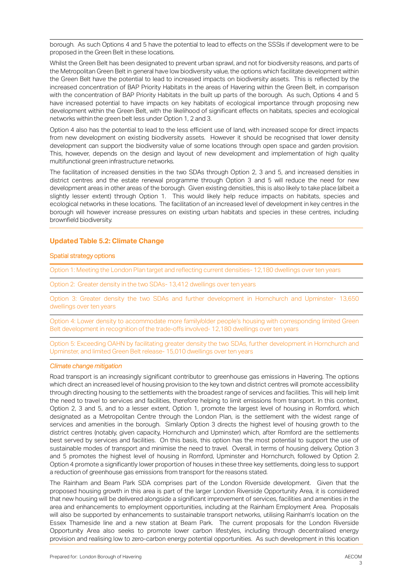borough. As such Options 4 and 5 have the potential to lead to effects on the SSSIs if development were to be proposed in the Green Belt in these locations.

Whilst the Green Belt has been designated to prevent urban sprawl, and not for biodiversity reasons, and parts of the Metropolitan Green Belt in general have low biodiversity value, the options which facilitate development within the Green Belt have the potential to lead to increased impacts on biodiversity assets. This is reflected by the increased concentration of BAP Priority Habitats in the areas of Havering within the Green Belt, in comparison with the concentration of BAP Priority Habitats in the built up parts of the borough. As such, Options 4 and 5 have increased potential to have impacts on key habitats of ecological importance through proposing new development within the Green Belt, with the likelihood of significant effects on habitats, species and ecological networks within the green belt less under Option 1, 2 and 3.

Option 4 also has the potential to lead to the less efficient use of land, with increased scope for direct impacts from new development on existing biodiversity assets. However it should be recognised that lower density development can support the biodiversity value of some locations through open space and garden provision. This, however, depends on the design and layout of new development and implementation of high quality multifunctional green infrastructure networks.

The facilitation of increased densities in the two SDAs through Option 2, 3 and 5, and increased densities in district centres and the estate renewal programme through Option 3 and 5 will reduce the need for new development areas in other areas of the borough. Given existing densities, this is also likely to take place (albeit a slightly lesser extent) through Option 1. This would likely help reduce impacts on habitats, species and ecological networks in these locations. The facilitation of an increased level of development in key centres in the borough will however increase pressures on existing urban habitats and species in these centres, including brownfield biodiversity.

#### **Updated Table 5.2: Climate Change**

#### Spatial strategy options

Option 1: Meeting the London Plan target and reflecting current densities- 12,180 dwellings over ten years

Option 2: Greater density in the two SDAs- 13,412 dwellings over ten years

Option 3: Greater density the two SDAs and further development in Hornchurch and Upminster- 13,650 dwellings over ten years

Option 4: Lower density to accommodate more family/older people's housing with corresponding limited Green Belt development in recognition of the trade-offs involved- 12,180 dwellings over ten years

Option 5: Exceeding OAHN by facilitating greater density the two SDAs, further development in Hornchurch and Upminster, and limited Green Belt release- 15,010 dwellings over ten years

#### *Climate change mitigation*

Road transport is an increasingly significant contributor to greenhouse gas emissions in Havering. The options which direct an increased level of housing provision to the key town and district centres will promote accessibility through directing housing to the settlements with the broadest range of services and facilities. This will help limit the need to travel to services and facilities, therefore helping to limit emissions from transport. In this context, Option 2, 3 and 5, and to a lesser extent, Option 1, promote the largest level of housing in Romford, which designated as a Metropolitan Centre through the London Plan, is the settlement with the widest range of services and amenities in the borough. Similarly Option 3 directs the highest level of housing growth to the district centres (notably, given capacity, Hornchurch and Upminster) which, after Romford are the settlements best served by services and facilities. On this basis, this option has the most potential to support the use of sustainable modes of transport and minimise the need to travel. Overall, in terms of housing delivery, Option 3 and 5 promotes the highest level of housing in Romford, Upminster and Hornchurch, followed by Option 2. Option 4 promote a significantly lower proportion of houses in these three key settlements, doing less to support a reduction of greenhouse gas emissions from transport for the reasons stated.

The Rainham and Beam Park SDA comprises part of the London Riverside development. Given that the proposed housing growth in this area is part of the larger London Riverside Opportunity Area, it is considered that new housing will be delivered alongside a significant improvement of services, facilities and amenities in the area and enhancements to employment opportunities, including at the Rainham Employment Area. Proposals will also be supported by enhancements to sustainable transport networks, utilising Rainham's location on the Essex Thameside line and a new station at Beam Park. The current proposals for the London Riverside Opportunity Area also seeks to promote lower carbon lifestyles, including through decentralised energy provision and realising low to zero-carbon energy potential opportunities. As such development in this location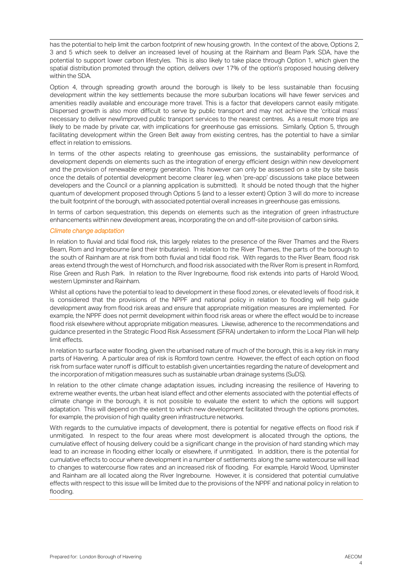has the potential to help limit the carbon footprint of new housing growth. In the context of the above, Options 2, 3 and 5 which seek to deliver an increased level of housing at the Rainham and Beam Park SDA, have the potential to support lower carbon lifestyles. This is also likely to take place through Option 1, which given the spatial distribution promoted through the option, delivers over 17% of the option's proposed housing delivery within the SDA.

Option 4, through spreading growth around the borough is likely to be less sustainable than focusing development within the key settlements because the more suburban locations will have fewer services and amenities readily available and encourage more travel. This is a factor that developers cannot easily mitigate. Dispersed growth is also more difficult to serve by public transport and may not achieve the 'critical mass' necessary to deliver new/improved public transport services to the nearest centres. As a result more trips are likely to be made by private car, with implications for greenhouse gas emissions. Similarly, Option 5, through facilitating development within the Green Belt away from existing centres, has the potential to have a similar effect in relation to emissions.

In terms of the other aspects relating to greenhouse gas emissions, the sustainability performance of development depends on elements such as the integration of energy efficient design within new development and the provision of renewable energy generation. This however can only be assessed on a site by site basis once the details of potential development become clearer (e.g. when 'pre-app' discussions take place between developers and the Council or a planning application is submitted). It should be noted though that the higher quantum of development proposed through Options 5 (and to a lesser extent) Option 3 will do more to increase the built footprint of the borough, with associated potential overall increases in greenhouse gas emissions.

In terms of carbon sequestration, this depends on elements such as the integration of green infrastructure enhancements within new development areas, incorporating the on and off-site provision of carbon sinks.

#### *Climate change adaptation*

In relation to fluvial and tidal flood risk, this largely relates to the presence of the River Thames and the Rivers Beam, Rom and Ingrebourne (and their tributaries). In relation to the River Thames, the parts of the borough to the south of Rainham are at risk from both fluvial and tidal flood risk. With regards to the River Beam, flood risk areas extend through the west of Hornchurch, and flood risk associated with the River Rom is present in Romford, Rise Green and Rush Park. In relation to the River Ingrebourne, flood risk extends into parts of Harold Wood, western Upminster and Rainham.

Whilst all options have the potential to lead to development in these flood zones, or elevated levels of flood risk, it is considered that the provisions of the NPPF and national policy in relation to flooding will help guide development away from flood risk areas and ensure that appropriate mitigation measures are implemented. For example, the NPPF does not permit development within flood risk areas or where the effect would be to increase flood risk elsewhere without appropriate mitigation measures. Likewise, adherence to the recommendations and guidance presented in the Strategic Flood Risk Assessment (SFRA) undertaken to inform the Local Plan will help limit effects.

In relation to surface water flooding, given the urbanised nature of much of the borough, this is a key risk in many parts of Havering. A particular area of risk is Romford town centre. However, the effect of each option on flood risk from surface water runoff is difficult to establish given uncertainties regarding the nature of development and the incorporation of mitigation measures such as sustainable urban drainage systems (SuDS).

In relation to the other climate change adaptation issues, including increasing the resilience of Havering to extreme weather events, the urban heat island effect and other elements associated with the potential effects of climate change in the borough, it is not possible to evaluate the extent to which the options will support adaptation. This will depend on the extent to which new development facilitated through the options promotes, for example, the provision of high quality green infrastructure networks.

With regards to the cumulative impacts of development, there is potential for negative effects on flood risk if unmitigated. In respect to the four areas where most development is allocated through the options, the cumulative effect of housing delivery could be a significant change in the provision of hard standing which may lead to an increase in flooding either locally or elsewhere, if unmitigated. In addition, there is the potential for cumulative effects to occur where development in a number of settlements along the same watercourse will lead to changes to watercourse flow rates and an increased risk of flooding. For example, Harold Wood, Upminster and Rainham are all located along the River Ingrebourne. However, it is considered that potential cumulative effects with respect to this issue will be limited due to the provisions of the NPPF and national policy in relation to flooding.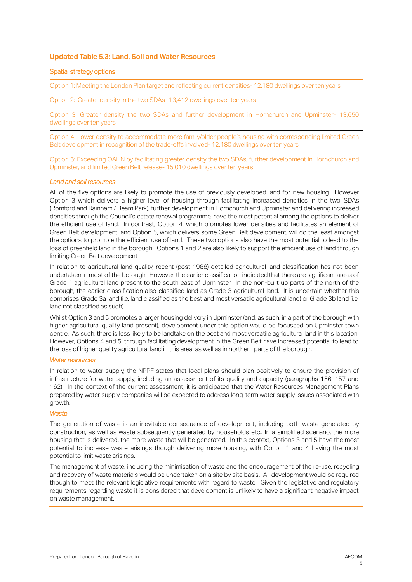#### **Updated Table 5.3: Land, Soil and Water Resources**

#### Spatial strategy options

Option 1: Meeting the London Plan target and reflecting current densities- 12,180 dwellings over ten years

Option 2: Greater density in the two SDAs- 13,412 dwellings over ten years

Option 3: Greater density the two SDAs and further development in Hornchurch and Upminster- 13,650 dwellings over ten years

Option 4: Lower density to accommodate more family/older people's housing with corresponding limited Green Belt development in recognition of the trade-offs involved- 12,180 dwellings over ten years

Option 5: Exceeding OAHN by facilitating greater density the two SDAs, further development in Hornchurch and Upminster, and limited Green Belt release- 15,010 dwellings over ten years

#### *Land and soil resources*

All of the five options are likely to promote the use of previously developed land for new housing. However Option 3 which delivers a higher level of housing through facilitating increased densities in the two SDAs (Romford and Rainham / Beam Park), further development in Hornchurch and Upminster and delivering increased densities through the Council's estate renewal programme, have the most potential among the options to deliver the efficient use of land. In contrast, Option 4, which promotes lower densities and facilitates an element of Green Belt development, and Option 5, which delivers some Green Belt development, will do the least amongst the options to promote the efficient use of land. These two options also have the most potential to lead to the loss of greenfield land in the borough. Options 1 and 2 are also likely to support the efficient use of land through limiting Green Belt development

In relation to agricultural land quality, recent (post 1988) detailed agricultural land classification has not been undertaken in most of the borough. However, the earlier classification indicated that there are significant areas of Grade 1 agricultural land present to the south east of Upminster. In the non-built up parts of the north of the borough, the earlier classification also classified land as Grade 3 agricultural land. It is uncertain whether this comprises Grade 3a land (i.e. land classified as the best and most versatile agricultural land) or Grade 3b land (i.e. land not classified as such).

Whilst Option 3 and 5 promotes a larger housing delivery in Upminster (and, as such, in a part of the borough with higher agricultural quality land present), development under this option would be focussed on Upminster town centre. As such, there is less likely to be landtake on the best and most versatile agricultural land in this location. However, Options 4 and 5, through facilitating development in the Green Belt have increased potential to lead to the loss of higher quality agricultural land in this area, as well as in northern parts of the borough.

#### *Water resources*

In relation to water supply, the NPPF states that local plans should plan positively to ensure the provision of infrastructure for water supply, including an assessment of its quality and capacity (paragraphs 156, 157 and 162). In the context of the current assessment, it is anticipated that the Water Resources Management Plans prepared by water supply companies will be expected to address long-term water supply issues associated with growth.

#### *Waste*

The generation of waste is an inevitable consequence of development, including both waste generated by construction, as well as waste subsequently generated by households etc.. In a simplified scenario, the more housing that is delivered, the more waste that will be generated. In this context, Options 3 and 5 have the most potential to increase waste arisings though delivering more housing, with Option 1 and 4 having the most potential to limit waste arisings.

The management of waste, including the minimisation of waste and the encouragement of the re-use, recycling and recovery of waste materials would be undertaken on a site by site basis. All development would be required though to meet the relevant legislative requirements with regard to waste. Given the legislative and regulatory requirements regarding waste it is considered that development is unlikely to have a significant negative impact on waste management.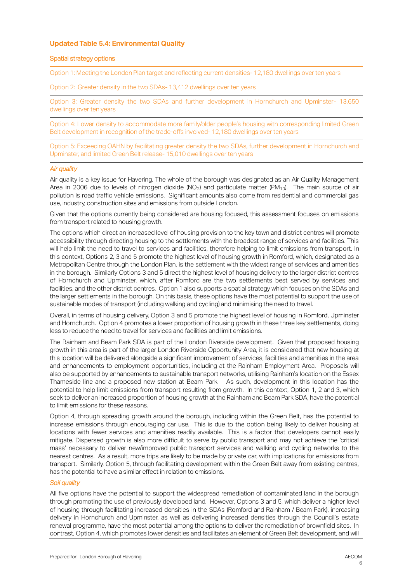#### **Updated Table 5.4: Environmental Quality**

#### Spatial strategy options

Option 1: Meeting the London Plan target and reflecting current densities- 12,180 dwellings over ten years

Option 2: Greater density in the two SDAs- 13,412 dwellings over ten years

Option 3: Greater density the two SDAs and further development in Hornchurch and Upminster- 13,650 dwellings over ten years

Option 4: Lower density to accommodate more family/older people's housing with corresponding limited Green Belt development in recognition of the trade-offs involved- 12,180 dwellings over ten years

Option 5: Exceeding OAHN by facilitating greater density the two SDAs, further development in Hornchurch and Upminster, and limited Green Belt release- 15,010 dwellings over ten years

#### *Air quality*

Air quality is a key issue for Havering. The whole of the borough was designated as an Air Quality Management Area in 2006 due to levels of nitrogen dioxide (NO<sub>2</sub>) and particulate matter (PM<sub>10</sub>). The main source of air pollution is road traffic vehicle emissions. Significant amounts also come from residential and commercial gas use, industry, construction sites and emissions from outside London.

Given that the options currently being considered are housing focused, this assessment focuses on emissions from transport related to housing growth.

The options which direct an increased level of housing provision to the key town and district centres will promote accessibility through directing housing to the settlements with the broadest range of services and facilities. This will help limit the need to travel to services and facilities, therefore helping to limit emissions from transport. In this context, Options 2, 3 and 5 promote the highest level of housing growth in Romford, which, designated as a Metropolitan Centre through the London Plan, is the settlement with the widest range of services and amenities in the borough. Similarly Options 3 and 5 direct the highest level of housing delivery to the larger district centres of Hornchurch and Upminster, which, after Romford are the two settlements best served by services and facilities, and the other district centres. Option 1 also supports a spatial strategy which focuses on the SDAs and the larger settlements in the borough. On this basis, these options have the most potential to support the use of sustainable modes of transport (including walking and cycling) and minimising the need to travel.

Overall, in terms of housing delivery, Option 3 and 5 promote the highest level of housing in Romford, Upminster and Hornchurch. Option 4 promotes a lower proportion of housing growth in these three key settlements, doing less to reduce the need to travel for services and facilities and limit emissions.

The Rainham and Beam Park SDA is part of the London Riverside development. Given that proposed housing growth in this area is part of the larger London Riverside Opportunity Area, it is considered that new housing at this location will be delivered alongside a significant improvement of services, facilities and amenities in the area and enhancements to employment opportunities, including at the Rainham Employment Area. Proposals will also be supported by enhancements to sustainable transport networks, utilising Rainham's location on the Essex Thameside line and a proposed new station at Beam Park. As such, development in this location has the potential to help limit emissions from transport resulting from growth. In this context, Option 1, 2 and 3, which seek to deliver an increased proportion of housing growth at the Rainham and Beam Park SDA, have the potential to limit emissions for these reasons.

Option 4, through spreading growth around the borough, including within the Green Belt, has the potential to increase emissions through encouraging car use. This is due to the option being likely to deliver housing at locations with fewer services and amenities readily available. This is a factor that developers cannot easily mitigate. Dispersed growth is also more difficult to serve by public transport and may not achieve the 'critical mass' necessary to deliver new/improved public transport services and walking and cycling networks to the nearest centres. As a result, more trips are likely to be made by private car, with implications for emissions from transport. Similarly, Option 5, through facilitating development within the Green Belt away from existing centres, has the potential to have a similar effect in relation to emissions.

#### *Soil quality*

All five options have the potential to support the widespread remediation of contaminated land in the borough through promoting the use of previously developed land. However, Options 3 and 5, which deliver a higher level of housing through facilitating increased densities in the SDAs (Romford and Rainham / Beam Park), increasing delivery in Hornchurch and Upminster, as well as delivering increased densities through the Council's estate renewal programme, have the most potential among the options to deliver the remediation of brownfield sites. In contrast, Option 4, which promotes lower densities and facilitates an element of Green Belt development, and will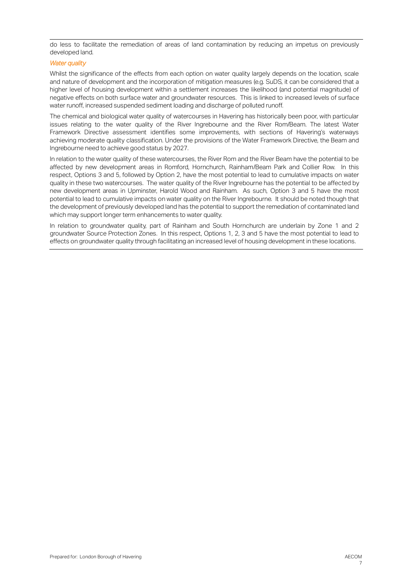do less to facilitate the remediation of areas of land contamination by reducing an impetus on previously developed land.

#### *Water quality*

Whilst the significance of the effects from each option on water quality largely depends on the location, scale and nature of development and the incorporation of mitigation measures (e.g. SuDS, it can be considered that a higher level of housing development within a settlement increases the likelihood (and potential magnitude) of negative effects on both surface water and groundwater resources. This is linked to increased levels of surface water runoff, increased suspended sediment loading and discharge of polluted runoff.

The chemical and biological water quality of watercourses in Havering has historically been poor, with particular issues relating to the water quality of the River Ingrebourne and the River Rom/Beam. The latest Water Framework Directive assessment identifies some improvements, with sections of Havering's waterways achieving moderate quality classification. Under the provisions of the Water Framework Directive, the Beam and Ingrebourne need to achieve good status by 2027.

In relation to the water quality of these watercourses, the River Rom and the River Beam have the potential to be affected by new development areas in Romford, Hornchurch, Rainham/Beam Park and Collier Row. In this respect, Options 3 and 5, followed by Option 2, have the most potential to lead to cumulative impacts on water quality in these two watercourses. The water quality of the River Ingrebourne has the potential to be affected by new development areas in Upminster, Harold Wood and Rainham. As such, Option 3 and 5 have the most potential to lead to cumulative impacts on water quality on the River Ingrebourne. It should be noted though that the development of previously developed land has the potential to support the remediation of contaminated land which may support longer term enhancements to water quality.

In relation to groundwater quality, part of Rainham and South Hornchurch are underlain by Zone 1 and 2 groundwater Source Protection Zones. In this respect, Options 1, 2, 3 and 5 have the most potential to lead to effects on groundwater quality through facilitating an increased level of housing development in these locations.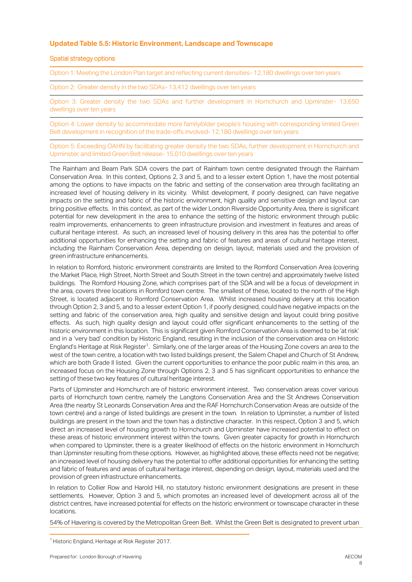#### **Updated Table 5.5: Historic Environment, Landscape and Townscape**

#### Spatial strategy options

Option 1: Meeting the London Plan target and reflecting current densities- 12,180 dwellings over ten years

Option 2: Greater density in the two SDAs- 13,412 dwellings over ten years

Option 3: Greater density the two SDAs and further development in Hornchurch and Upminster- 13,650 dwellings over ten years

Option 4: Lower density to accommodate more family/older people's housing with corresponding limited Green Belt development in recognition of the trade-offs involved- 12,180 dwellings over ten years

Option 5: Exceeding OAHN by facilitating greater density the two SDAs, further development in Hornchurch and Upminster, and limited Green Belt release- 15,010 dwellings over ten years

The Rainham and Beam Park SDA covers the part of Rainham town centre designated through the Rainham Conservation Area. In this context, Options 2, 3 and 5, and to a lesser extent Option 1, have the most potential among the options to have impacts on the fabric and setting of the conservation area through facilitating an increased level of housing delivery in its vicinity. Whilst development, if poorly designed, can have negative impacts on the setting and fabric of the historic environment, high quality and sensitive design and layout can bring positive effects. In this context, as part of the wider London Riverside Opportunity Area, there is significant potential for new development in the area to enhance the setting of the historic environment through public realm improvements, enhancements to green infrastructure provision and investment in features and areas of cultural heritage interest. As such, an increased level of housing delivery in this area has the potential to offer additional opportunities for enhancing the setting and fabric of features and areas of cultural heritage interest, including the Rainham Conservation Area, depending on design, layout, materials used and the provision of green infrastructure enhancements.

In relation to Romford, historic environment constraints are limited to the Romford Conservation Area (covering the Market Place, High Street, North Street and South Street in the town centre) and approximately twelve listed buildings. The Romford Housing Zone, which comprises part of the SDA and will be a focus of development in the area, covers three locations in Romford town centre. The smallest of these, located to the north of the High Street, is located adjacent to Romford Conservation Area. Whilst increased housing delivery at this location through Option 2, 3 and 5, and to a lesser extent Option 1, if poorly designed, could have negative impacts on the setting and fabric of the conservation area, high quality and sensitive design and layout could bring positive effects. As such, high quality design and layout could offer significant enhancements to the setting of the historic environment in this location. This is significant given Romford Conservation Area is deemed to be 'at risk' and in a 'very bad' condition by Historic England, resulting in the inclusion of the conservation area on Historic England's Heritage at Risk Register<sup>1</sup>. Similarly, one of the larger areas of the Housing Zone covers an area to the west of the town centre, a location with two listed buildings present, the Salem Chapel and Church of St Andrew, which are both Grade II listed. Given the current opportunities to enhance the poor public realm in this area, an increased focus on the Housing Zone through Options 2, 3 and 5 has significant opportunities to enhance the setting of these two key features of cultural heritage interest.

Parts of Upminster and Hornchurch are of historic environment interest. Two conservation areas cover various parts of Hornchurch town centre, namely the Langtons Conservation Area and the St Andrews Conservation Area (the nearby St Leonards Conservation Area and the RAF Hornchurch Conservation Areas are outside of the town centre) and a range of listed buildings are present in the town. In relation to Upminster, a number of listed buildings are present in the town and the town has a distinctive character. In this respect, Option 3 and 5, which direct an increased level of housing growth to Hornchurch and Upminster have increased potential to effect on these areas of historic environment interest within the towns. Given greater capacity for growth in Hornchurch when compared to Upminster, there is a greater likelihood of effects on the historic environment in Hornchurch than Upminster resulting from these options. However, as highlighted above, these effects need not be negative; an increased level of housing delivery has the potential to offer additional opportunities for enhancing the setting and fabric of features and areas of cultural heritage interest, depending on design, layout, materials used and the provision of green infrastructure enhancements.

In relation to Collier Row and Harold Hill, no statutory historic environment designations are present in these settlements. However, Option 3 and 5, which promotes an increased level of development across all of the district centres, have increased potential for effects on the historic environment or townscape character in these locations.

54% of Havering is covered by the Metropolitan Green Belt. Whilst the Green Belt is designated to prevent urban

ł

<sup>&</sup>lt;sup>1</sup> Historic England, Heritage at Risk Register 2017.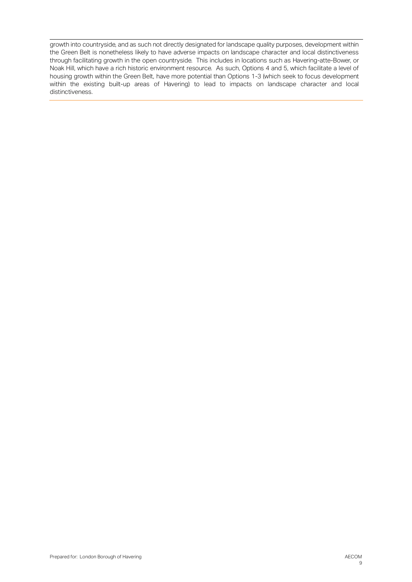growth into countryside, and as such not directly designated for landscape quality purposes, development within the Green Belt is nonetheless likely to have adverse impacts on landscape character and local distinctiveness through facilitating growth in the open countryside. This includes in locations such as Havering-atte-Bower, or Noak Hill, which have a rich historic environment resource. As such, Options 4 and 5, which facilitate a level of housing growth within the Green Belt, have more potential than Options 1-3 (which seek to focus development within the existing built-up areas of Havering) to lead to impacts on landscape character and local distinctiveness.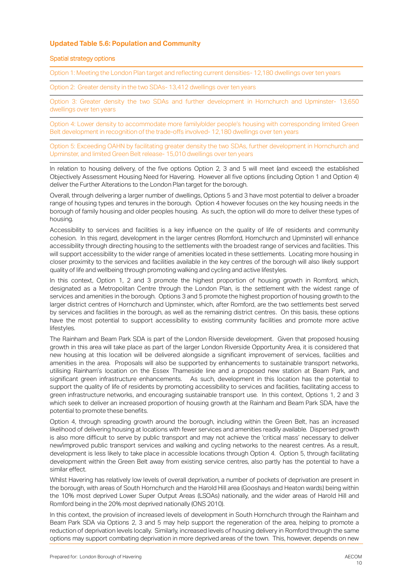#### **Updated Table 5.6: Population and Community**

#### Spatial strategy options

Option 1: Meeting the London Plan target and reflecting current densities- 12,180 dwellings over ten years

Option 2: Greater density in the two SDAs- 13,412 dwellings over ten years

Option 3: Greater density the two SDAs and further development in Hornchurch and Upminster- 13,650 dwellings over ten years

Option 4: Lower density to accommodate more family/older people's housing with corresponding limited Green Belt development in recognition of the trade-offs involved- 12,180 dwellings over ten years

Option 5: Exceeding OAHN by facilitating greater density the two SDAs, further development in Hornchurch and Upminster, and limited Green Belt release- 15,010 dwellings over ten years

In relation to housing delivery, of the five options Option 2, 3 and 5 will meet (and exceed) the established Objectively Assessment Housing Need for Havering. However all five options (including Option 1 and Option 4) deliver the Further Alterations to the London Plan target for the borough.

Overall, through delivering a larger number of dwellings, Options 5 and 3 have most potential to deliver a broader range of housing types and tenures in the borough. Option 4 however focuses on the key housing needs in the borough of family housing and older peoples housing. As such, the option will do more to deliver these types of housing.

Accessibility to services and facilities is a key influence on the quality of life of residents and community cohesion. In this regard, development in the larger centres (Romford, Hornchurch and Upminster) will enhance accessibility through directing housing to the settlements with the broadest range of services and facilities. This will support accessibility to the wider range of amenities located in these settlements. Locating more housing in closer proximity to the services and facilities available in the key centres of the borough will also likely support quality of life and wellbeing through promoting walking and cycling and active lifestyles.

In this context, Option 1, 2 and 3 promote the highest proportion of housing growth in Romford, which, designated as a Metropolitan Centre through the London Plan, is the settlement with the widest range of services and amenities in the borough. Options 3 and 5 promote the highest proportion of housing growth to the larger district centres of Hornchurch and Upminster, which, after Romford, are the two settlements best served by services and facilities in the borough, as well as the remaining district centres. On this basis, these options have the most potential to support accessibility to existing community facilities and promote more active lifestyles.

The Rainham and Beam Park SDA is part of the London Riverside development. Given that proposed housing growth in this area will take place as part of the larger London Riverside Opportunity Area, it is considered that new housing at this location will be delivered alongside a significant improvement of services, facilities and amenities in the area. Proposals will also be supported by enhancements to sustainable transport networks, utilising Rainham's location on the Essex Thameside line and a proposed new station at Beam Park, and significant green infrastructure enhancements. As such, development in this location has the potential to support the quality of life of residents by promoting accessibility to services and facilities, facilitating access to green infrastructure networks, and encouraging sustainable transport use. In this context, Options 1, 2 and 3 which seek to deliver an increased proportion of housing growth at the Rainham and Beam Park SDA, have the potential to promote these benefits.

Option 4, through spreading growth around the borough, including within the Green Belt, has an increased likelihood of delivering housing at locations with fewer services and amenities readily available. Dispersed growth is also more difficult to serve by public transport and may not achieve the 'critical mass' necessary to deliver new/improved public transport services and walking and cycling networks to the nearest centres. As a result, development is less likely to take place in accessible locations through Option 4. Option 5, through facilitating development within the Green Belt away from existing service centres, also partly has the potential to have a similar effect.

Whilst Havering has relatively low levels of overall deprivation, a number of pockets of deprivation are present in the borough, with areas of South Hornchurch and the Harold Hill area (Gooshays and Heaton wards) being within the 10% most deprived Lower Super Output Areas (LSOAs) nationally, and the wider areas of Harold Hill and Romford being in the 20% most deprived nationally (ONS 2010).

In this context, the provision of increased levels of development in South Hornchurch through the Rainham and Beam Park SDA via Options 2, 3 and 5 may help support the regeneration of the area, helping to promote a reduction of deprivation levels locally. Similarly, increased levels of housing delivery in Romford through the same options may support combating deprivation in more deprived areas of the town. This, however, depends on new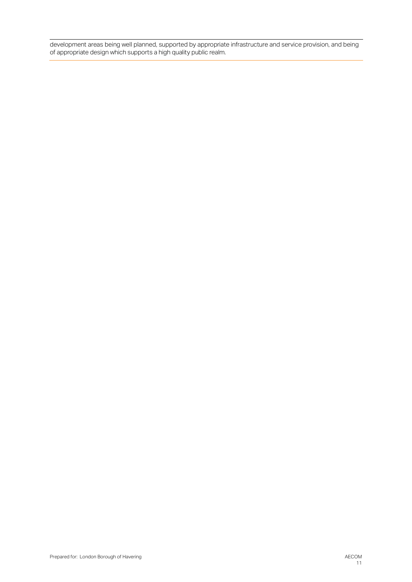development areas being well planned, supported by appropriate infrastructure and service provision, and being of appropriate design which supports a high quality public realm.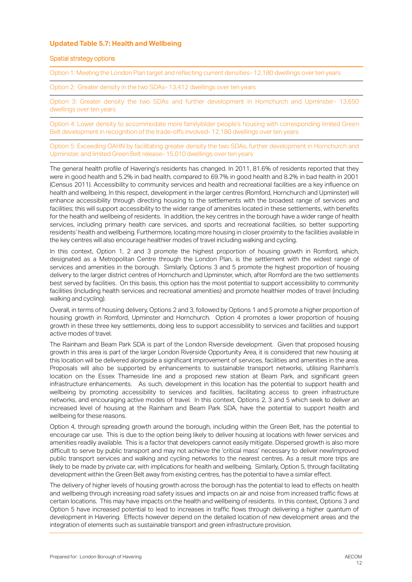#### **Updated Table 5.7: Health and Wellbeing**

#### Spatial strategy options

Option 1: Meeting the London Plan target and reflecting current densities- 12,180 dwellings over ten years

Option 2: Greater density in the two SDAs- 13,412 dwellings over ten years

Option 3: Greater density the two SDAs and further development in Hornchurch and Upminster- 13,650 dwellings over ten years

Option 4: Lower density to accommodate more family/older people's housing with corresponding limited Green Belt development in recognition of the trade-offs involved- 12,180 dwellings over ten years

Option 5: Exceeding OAHN by facilitating greater density the two SDAs, further development in Hornchurch and Upminster, and limited Green Belt release- 15,010 dwellings over ten years

The general health profile of Havering's residents has changed. In 2011, 81.6% of residents reported that they were in good health and 5.2% in bad health, compared to 69.7% in good health and 8.2% in bad health in 2001 (Census 2011). Accessibility to community services and health and recreational facilities are a key influence on health and wellbeing. In this respect, development in the larger centres (Romford, Hornchurch and Upminster) will enhance accessibility through directing housing to the settlements with the broadest range of services and facilities; this will support accessibility to the wider range of amenities located in these settlements, with benefits for the health and wellbeing of residents. In addition, the key centres in the borough have a wider range of health services, including primary health care services, and sports and recreational facilities, so better supporting residents' health and wellbeing. Furthermore, locating more housing in closer proximity to the facilities available in the key centres will also encourage healthier modes of travel including walking and cycling.

In this context, Option 1, 2 and 3 promote the highest proportion of housing growth in Romford, which, designated as a Metropolitan Centre through the London Plan, is the settlement with the widest range of services and amenities in the borough. Similarly, Options 3 and 5 promote the highest proportion of housing delivery to the larger district centres of Hornchurch and Upminster, which, after Romford are the two settlements best served by facilities. On this basis, this option has the most potential to support accessibility to community facilities (including health services and recreational amenities) and promote healthier modes of travel (including walking and cycling).

Overall, in terms of housing delivery, Options 2 and 3, followed by Options 1 and 5 promote a higher proportion of housing growth in Romford, Upminster and Hornchurch. Option 4 promotes a lower proportion of housing growth in these three key settlements, doing less to support accessibility to services and facilities and support active modes of travel.

The Rainham and Beam Park SDA is part of the London Riverside development. Given that proposed housing growth in this area is part of the larger London Riverside Opportunity Area, it is considered that new housing at this location will be delivered alongside a significant improvement of services, facilities and amenities in the area. Proposals will also be supported by enhancements to sustainable transport networks, utilising Rainham's location on the Essex Thameside line and a proposed new station at Beam Park, and significant green infrastructure enhancements. As such, development in this location has the potential to support health and wellbeing by promoting accessibility to services and facilities, facilitating access to green infrastructure networks, and encouraging active modes of travel. In this context, Options 2, 3 and 5 which seek to deliver an increased level of housing at the Rainham and Beam Park SDA, have the potential to support health and wellbeing for these reasons.

Option 4, through spreading growth around the borough, including within the Green Belt, has the potential to encourage car use. This is due to the option being likely to deliver housing at locations with fewer services and amenities readily available. This is a factor that developers cannot easily mitigate. Dispersed growth is also more difficult to serve by public transport and may not achieve the 'critical mass' necessary to deliver new/improved public transport services and walking and cycling networks to the nearest centres. As a result more trips are likely to be made by private car, with implications for health and wellbeing. Similarly, Option 5, through facilitating development within the Green Belt away from existing centres, has the potential to have a similar effect.

The delivery of higher levels of housing growth across the borough has the potential to lead to effects on health and wellbeing through increasing road safety issues and impacts on air and noise from increased traffic flows at certain locations. This may have impacts on the health and wellbeing of residents. In this context, Options 3 and Option 5 have increased potential to lead to increases in traffic flows through delivering a higher quantum of development in Havering. Effects however depend on the detailed location of new development areas and the integration of elements such as sustainable transport and green infrastructure provision.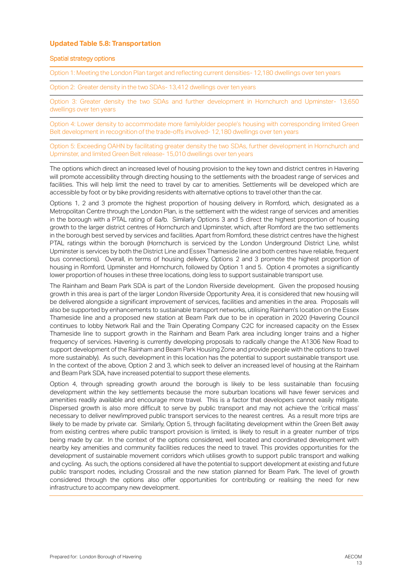#### **Updated Table 5.8: Transportation**

#### Spatial strategy options

Option 1: Meeting the London Plan target and reflecting current densities- 12,180 dwellings over ten years

Option 2: Greater density in the two SDAs- 13,412 dwellings over ten years

Option 3: Greater density the two SDAs and further development in Hornchurch and Upminster- 13,650 dwellings over ten years

Option 4: Lower density to accommodate more family/older people's housing with corresponding limited Green Belt development in recognition of the trade-offs involved- 12,180 dwellings over ten years

Option 5: Exceeding OAHN by facilitating greater density the two SDAs, further development in Hornchurch and Upminster, and limited Green Belt release- 15,010 dwellings over ten years

The options which direct an increased level of housing provision to the key town and district centres in Havering will promote accessibility through directing housing to the settlements with the broadest range of services and facilities. This will help limit the need to travel by car to amenities. Settlements will be developed which are accessible by foot or by bike providing residents with alternative options to travel other than the car.

Options 1, 2 and 3 promote the highest proportion of housing delivery in Romford, which, designated as a Metropolitan Centre through the London Plan, is the settlement with the widest range of services and amenities in the borough with a PTAL rating of 6a/b. Similarly Options 3 and 5 direct the highest proportion of housing growth to the larger district centres of Hornchurch and Upminster, which, after Romford are the two settlements in the borough best served by services and facilities. Apart from Romford, these district centres have the highest PTAL ratings within the borough (Hornchurch is serviced by the London Underground District Line, whilst Upminster is services by both the District Line and Essex Thameside line and both centres have reliable, frequent bus connections). Overall, in terms of housing delivery, Options 2 and 3 promote the highest proportion of housing in Romford, Upminster and Hornchurch, followed by Option 1 and 5. Option 4 promotes a significantly lower proportion of houses in these three locations, doing less to support sustainable transport use.

The Rainham and Beam Park SDA is part of the London Riverside development. Given the proposed housing growth in this area is part of the larger London Riverside Opportunity Area, it is considered that new housing will be delivered alongside a significant improvement of services, facilities and amenities in the area. Proposals will also be supported by enhancements to sustainable transport networks, utilising Rainham's location on the Essex Thameside line and a proposed new station at Beam Park due to be in operation in 2020 (Havering Council continues to lobby Network Rail and the Train Operating Company C2C for increased capacity on the Essex Thameside line to support growth in the Rainham and Beam Park area including longer trains and a higher frequency of services. Havering is currently developing proposals to radically change the A1306 New Road to support development of the Rainham and Beam Park Housing Zone and provide people with the options to travel more sustainably). As such, development in this location has the potential to support sustainable transport use. In the context of the above, Option 2 and 3, which seek to deliver an increased level of housing at the Rainham and Beam Park SDA, have increased potential to support these elements.

Option 4, through spreading growth around the borough is likely to be less sustainable than focusing development within the key settlements because the more suburban locations will have fewer services and amenities readily available and encourage more travel. This is a factor that developers cannot easily mitigate. Dispersed growth is also more difficult to serve by public transport and may not achieve the 'critical mass' necessary to deliver new/improved public transport services to the nearest centres. As a result more trips are likely to be made by private car. Similarly, Option 5, through facilitating development within the Green Belt away from existing centres where public transport provision is limited, is likely to result in a greater number of trips being made by car. In the context of the options considered, well located and coordinated development with nearby key amenities and community facilities reduces the need to travel. This provides opportunities for the development of sustainable movement corridors which utilises growth to support public transport and walking and cycling. As such, the options considered all have the potential to support development at existing and future public transport nodes, including Crossrail and the new station planned for Beam Park. The level of growth considered through the options also offer opportunities for contributing or realising the need for new infrastructure to accompany new development.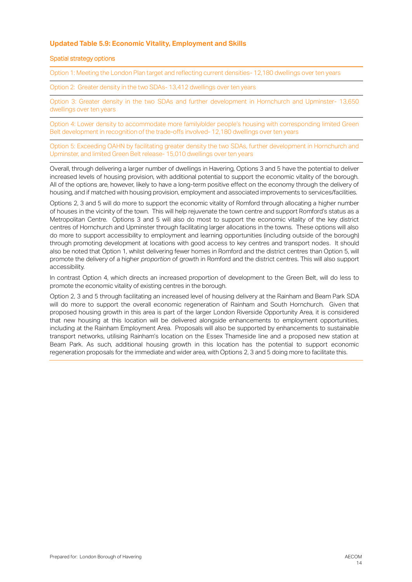#### **Updated Table 5.9: Economic Vitality, Employment and Skills**

#### Spatial strategy options

Option 1: Meeting the London Plan target and reflecting current densities- 12,180 dwellings over ten years

Option 2: Greater density in the two SDAs- 13,412 dwellings over ten years

Option 3: Greater density in the two SDAs and further development in Hornchurch and Upminster- 13,650 dwellings over ten years

Option 4: Lower density to accommodate more family/older people's housing with corresponding limited Green Belt development in recognition of the trade-offs involved- 12,180 dwellings over ten years

Option 5: Exceeding OAHN by facilitating greater density the two SDAs, further development in Hornchurch and Upminster, and limited Green Belt release- 15,010 dwellings over ten years

Overall, through delivering a larger number of dwellings in Havering, Options 3 and 5 have the potential to deliver increased levels of housing provision, with additional potential to support the economic vitality of the borough. All of the options are, however, likely to have a long-term positive effect on the economy through the delivery of housing, and if matched with housing provision, employment and associated improvements to services/facilities.

Options 2, 3 and 5 will do more to support the economic vitality of Romford through allocating a higher number of houses in the vicinity of the town. This will help rejuvenate the town centre and support Romford's status as a Metropolitan Centre. Options 3 and 5 will also do most to support the economic vitality of the key district centres of Hornchurch and Upminster through facilitating larger allocations in the towns. These options will also do more to support accessibility to employment and learning opportunities (including outside of the borough) through promoting development at locations with good access to key centres and transport nodes. It should also be noted that Option 1, whilst delivering fewer homes in Romford and the district centres than Option 5, will promote the delivery of a higher *proportion* of growth in Romford and the district centres. This will also support accessibility.

In contrast Option 4, which directs an increased proportion of development to the Green Belt, will do less to promote the economic vitality of existing centres in the borough.

Option 2, 3 and 5 through facilitating an increased level of housing delivery at the Rainham and Beam Park SDA will do more to support the overall economic regeneration of Rainham and South Hornchurch. Given that proposed housing growth in this area is part of the larger London Riverside Opportunity Area, it is considered that new housing at this location will be delivered alongside enhancements to employment opportunities, including at the Rainham Employment Area. Proposals will also be supported by enhancements to sustainable transport networks, utilising Rainham's location on the Essex Thameside line and a proposed new station at Beam Park. As such, additional housing growth in this location has the potential to support economic regeneration proposals for the immediate and wider area, with Options 2, 3 and 5 doing more to facilitate this.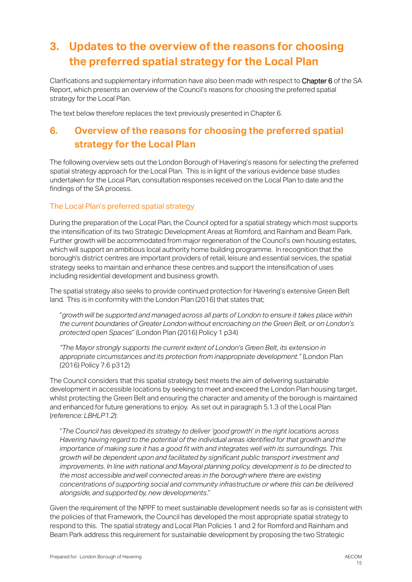## **3. Updates to the overview of the reasons for choosing the preferred spatial strategy for the Local Plan**

Clarifications and supplementary information have also been made with respect to Chapter 6 of the SA Report, which presents an overview of the Council's reasons for choosing the preferred spatial strategy for the Local Plan.

The text below therefore replaces the text previously presented in Chapter 6.

## **6. Overview of the reasons for choosing the preferred spatial strategy for the Local Plan**

The following overview sets out the London Borough of Havering's reasons for selecting the preferred spatial strategy approach for the Local Plan. This is in light of the various evidence base studies undertaken for the Local Plan, consultation responses received on the Local Plan to date and the findings of the SA process.

### The Local Plan's preferred spatial strategy

During the preparation of the Local Plan, the Council opted for a spatial strategy which most supports the intensification of its two Strategic Development Areas at Romford, and Rainham and Beam Park. Further growth will be accommodated from major regeneration of the Council's own housing estates, which will support an ambitious local authority home building programme. In recognition that the borough's district centres are important providers of retail, leisure and essential services, the spatial strategy seeks to maintain and enhance these centres and support the intensification of uses including residential development and business growth.

The spatial strategy also seeks to provide continued protection for Havering's extensive Green Belt land. This is in conformity with the London Plan (2016) that states that;

"*growth will be supported and managed across all parts of London to ensure it takes place within the current boundaries of Greater London without encroaching on the Green Belt, or on London's protected open Spaces*" (London Plan (2016) Policy 1 p34)

*"The Mayor strongly supports the current extent of London's Green Belt, its extension in appropriate circumstances and its protection from inappropriate development."* (London Plan (2016) Policy 7.6 p312)

The Council considers that this spatial strategy best meets the aim of delivering sustainable development in accessible locations by seeking to meet and exceed the London Plan housing target, whilst protecting the Green Belt and ensuring the character and amenity of the borough is maintained and enhanced for future generations to enjoy. As set out in paragraph 5.1.3 of the Local Plan (*reference: LBHLP1.2*):

"*The Council has developed its strategy to deliver 'good growth' in the right locations across Havering having regard to the potential of the individual areas identified for that growth and the importance of making sure it has a good fit with and integrates well with its surroundings. This growth will be dependent upon and facilitated by significant public transport investment and improvements. In line with national and Mayoral planning policy, development is to be directed to the most accessible and well connected areas in the borough where there are existing concentrations of supporting social and community infrastructure or where this can be delivered alongside, and supported by, new developments*."

Given the requirement of the NPPF to meet sustainable development needs so far as is consistent with the policies of that Framework, the Council has developed the most appropriate spatial strategy to respond to this. The spatial strategy and Local Plan Policies 1 and 2 for Romford and Rainham and Beam Park address this requirement for sustainable development by proposing the two Strategic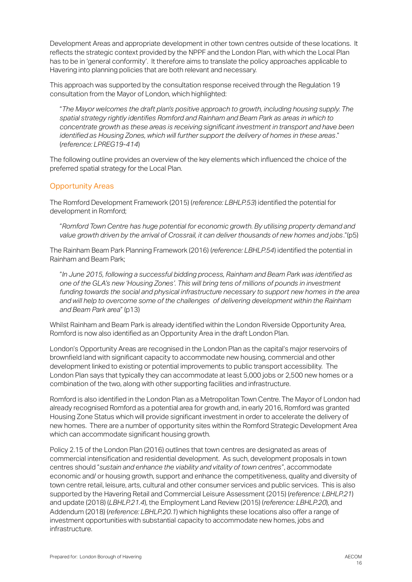Development Areas and appropriate development in other town centres outside of these locations. It reflects the strategic context provided by the NPPF and the London Plan, with which the Local Plan has to be in 'general conformity'. It therefore aims to translate the policy approaches applicable to Havering into planning policies that are both relevant and necessary.

This approach was supported by the consultation response received through the Regulation 19 consultation from the Mayor of London, which highlighted:

"*The Mayor welcomes the draft plan's positive approach to growth, including housing supply. The spatial strategy rightly identifies Romford and Rainham and Beam Park as areas in which to concentrate growth as these areas is receiving significant investment in transport and have been identified as Housing Zones, which will further support the delivery of homes in these areas*." (*reference: LPREG19-414*)

The following outline provides an overview of the key elements which influenced the choice of the preferred spatial strategy for the Local Plan.

### Opportunity Areas

The Romford Development Framework (2015) (*reference: LBHLP.53*) identified the potential for development in Romford;

"*Romford Town Centre has huge potential for economic growth. By utilising property demand and value growth driven by the arrival of Crossrail, it can deliver thousands of new homes and jobs*."(p5)

The Rainham Beam Park Planning Framework (2016) (*reference: LBHLP.54*) identified the potential in Rainham and Beam Park;

"*In June 2015, following a successful bidding process, Rainham and Beam Park was identified as one of the GLA's new 'Housing Zones'. This will bring tens of millions of pounds in investment funding towards the social and physical infrastructure necessary to support new homes in the area and will help to overcome some of the challenges of delivering development within the Rainham and Beam Park area*" (p13)

Whilst Rainham and Beam Park is already identified within the London Riverside Opportunity Area, Romford is now also identified as an Opportunity Area in the draft London Plan.

London's Opportunity Areas are recognised in the London Plan as the capital's major reservoirs of brownfield land with significant capacity to accommodate new housing, commercial and other development linked to existing or potential improvements to public transport accessibility. The London Plan says that typically they can accommodate at least 5,000 jobs or 2,500 new homes or a combination of the two, along with other supporting facilities and infrastructure.

Romford is also identified in the London Plan as a Metropolitan Town Centre. The Mayor of London had already recognised Romford as a potential area for growth and, in early 2016, Romford was granted Housing Zone Status which will provide significant investment in order to accelerate the delivery of new homes. There are a number of opportunity sites within the Romford Strategic Development Area which can accommodate significant housing growth.

Policy 2.15 of the London Plan (2016) outlines that town centres are designated as areas of commercial intensification and residential development. As such, development proposals in town centres should "*sustain and enhance the viability and vitality of town centres*", accommodate economic and/ or housing growth, support and enhance the competitiveness, quality and diversity of town centre retail, leisure, arts, cultural and other consumer services and public services. This is also supported by the Havering Retail and Commercial Leisure Assessment (2015) (*reference: LBHLP.21*) and update (2018) (*LBHLP.21.4*), the Employment Land Review (2015) (*reference: LBHLP.20*), and Addendum (2018) (*reference: LBHLP.20.1*) which highlights these locations also offer a range of investment opportunities with substantial capacity to accommodate new homes, jobs and infrastructure.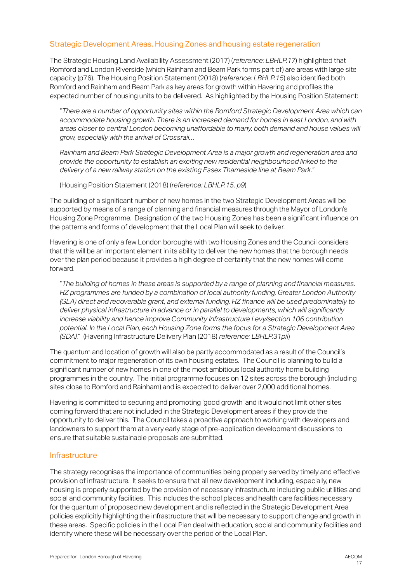### Strategic Development Areas, Housing Zones and housing estate regeneration

The Strategic Housing Land Availability Assessment (2017) (*reference: LBHLP.17*) highlighted that Romford and London Riverside (which Rainham and Beam Park forms part of) are areas with large site capacity (p76). The Housing Position Statement (2018) (*reference: LBHLP.15*) also identified both Romford and Rainham and Beam Park as key areas for growth within Havering and profiles the expected number of housing units to be delivered. As highlighted by the Housing Position Statement:

"*There are a number of opportunity sites within the Romford Strategic Development Area which can accommodate housing growth. There is an increased demand for homes in east London, and with areas closer to central London becoming unaffordable to many, both demand and house values will grow, especially with the arrival of Crossrail…*

*Rainham and Beam Park Strategic Development Area is a major growth and regeneration area and provide the opportunity to establish an exciting new residential neighbourhood linked to the delivery of a new railway station on the existing Essex Thameside line at Beam Park*."

(Housing Position Statement (2018) (*reference: LBHLP.15, p9*)

The building of a significant number of new homes in the two Strategic Development Areas will be supported by means of a range of planning and financial measures through the Mayor of London's Housing Zone Programme. Designation of the two Housing Zones has been a significant influence on the patterns and forms of development that the Local Plan will seek to deliver.

Havering is one of only a few London boroughs with two Housing Zones and the Council considers that this will be an important element in its ability to deliver the new homes that the borough needs over the plan period because it provides a high degree of certainty that the new homes will come forward.

"*The building of homes in these areas is supported by a range of planning and financial measures. HZ programmes are funded by a combination of local authority funding, Greater London Authority (GLA) direct and recoverable grant, and external funding. HZ finance will be used predominately to deliver physical infrastructure in advance or in parallel to developments, which will significantly increase viability and hence improve Community Infrastructure Levy/section 106 contribution potential. In the Local Plan, each Housing Zone forms the focus for a Strategic Development Area (SDA).*" (Havering Infrastructure Delivery Plan (2018) *reference: LBHLP.31pii*)

The quantum and location of growth will also be partly accommodated as a result of the Council's commitment to major regeneration of its own housing estates. The Council is planning to build a significant number of new homes in one of the most ambitious local authority home building programmes in the country. The initial programme focuses on 12 sites across the borough (including sites close to Romford and Rainham) and is expected to deliver over 2,000 additional homes.

Havering is committed to securing and promoting 'good growth' and it would not limit other sites coming forward that are not included in the Strategic Development areas if they provide the opportunity to deliver this. The Council takes a proactive approach to working with developers and landowners to support them at a very early stage of pre-application development discussions to ensure that suitable sustainable proposals are submitted.

### Infrastructure

The strategy recognises the importance of communities being properly served by timely and effective provision of infrastructure. It seeks to ensure that all new development including, especially, new housing is properly supported by the provision of necessary infrastructure including public utilities and social and community facilities. This includes the school places and health care facilities necessary for the quantum of proposed new development and is reflected in the Strategic Development Area policies explicitly highlighting the infrastructure that will be necessary to support change and growth in these areas. Specific policies in the Local Plan deal with education, social and community facilities and identify where these will be necessary over the period of the Local Plan.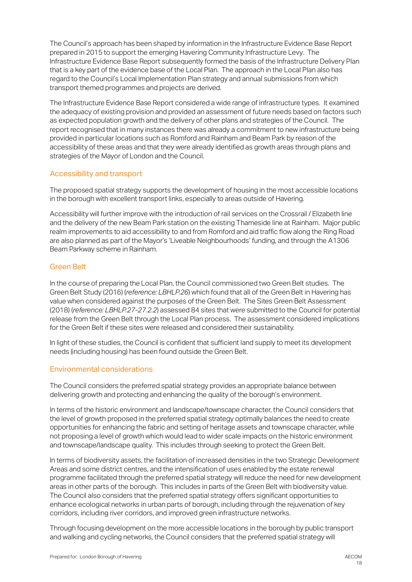The Council's approach has been shaped by information in the Infrastructure Evidence Base Report prepared in 2015 to support the emerging Havering Community Infrastructure Levy. The Infrastructure Evidence Base Report subsequently formed the basis of the Infrastructure Delivery Plan that is a key part of the evidence base of the Local Plan. The approach in the Local Plan also has regard to the Council's Local Implementation Plan strategy and annual submissions from which transport themed programmes and projects are derived.

The Infrastructure Evidence Base Report considered a wide range of infrastructure types. It examined the adequacy of existing provision and provided an assessment of future needs based on factors such as expected population growth and the delivery of other plans and strategies of the Council. The report recognised that in many instances there was already a commitment to new infrastructure being provided in particular locations such as Romford and Rainham and Beam Park by reason of the accessibility of these areas and that they were already identified as growth areas through plans and strategies of the Mayor of London and the Council.

### Accessibility and transport

The proposed spatial strategy supports the development of housing in the most accessible locations in the borough with excellent transport links, especially to areas outside of Havering.

Accessibility will further improve with the introduction of rail services on the Crossrail / Elizabeth line and the delivery of the new Beam Park station on the existing Thameside line at Rainham. Major public realm improvements to aid accessibility to and from Romford and aid traffic flow along the Ring Road are also planned as part of the Mayor's 'Liveable Neighbourhoods' funding, and through the A1306 Beam Parkway scheme in Rainham.

## Green Belt

In the course of preparing the Local Plan, the Council commissioned two Green Belt studies. The Green Belt Study (2016) (*reference: LBHLP.26*) which found that all of the Green Belt in Havering has value when considered against the purposes of the Green Belt. The Sites Green Belt Assessment (2018) (*reference: LBHLP.27-27.2.2*) assessed 84 sites that were submitted to the Council for potential release from the Green Belt through the Local Plan process. The assessment considered implications for the Green Belt if these sites were released and considered their sustainability.

In light of these studies, the Council is confident that sufficient land supply to meet its development needs (including housing) has been found outside the Green Belt.

## Environmental considerations

The Council considers the preferred spatial strategy provides an appropriate balance between delivering growth and protecting and enhancing the quality of the borough's environment.

In terms of the historic environment and landscape/townscape character, the Council considers that the level of growth proposed in the preferred spatial strategy optimally balances the need to create opportunities for enhancing the fabric and setting of heritage assets and townscape character, while not proposing a level of growth which would lead to wider scale impacts on the historic environment and townscape/landscape quality. This includes through seeking to protect the Green Belt.

In terms of biodiversity assets, the facilitation of increased densities in the two Strategic Development Areas and some district centres, and the intensification of uses enabled by the estate renewal programme facilitated through the preferred spatial strategy will reduce the need for new development areas in other parts of the borough. This includes in parts of the Green Belt with biodiversity value. The Council also considers that the preferred spatial strategy offers significant opportunities to enhance ecological networks in urban parts of borough, including through the rejuvenation of key corridors, including river corridors, and improved green infrastructure networks.

Through focusing development on the more accessible locations in the borough by public transport and walking and cycling networks, the Council considers that the preferred spatial strategy will